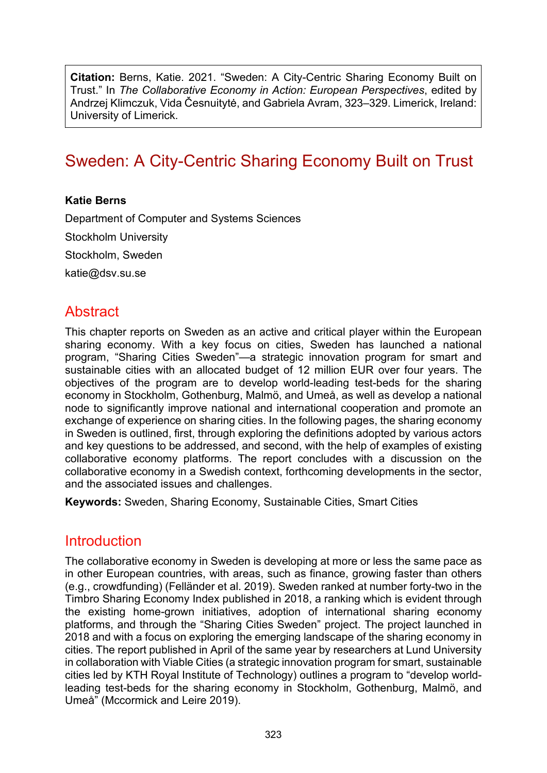**Citation:** Berns, Katie. 2021. "Sweden: A City-Centric Sharing Economy Built on Trust." In *The Collaborative Economy in Action: European Perspectives*, edited by Andrzej Klimczuk, Vida Česnuitytė, and Gabriela Avram, 323–329. Limerick, Ireland: University of Limerick.

# Sweden: A City-Centric Sharing Economy Built on Trust

#### **Katie Berns**

Department of Computer and Systems Sciences Stockholm University Stockholm, Sweden [katie@dsv.su.se](mailto:katie@dsv.su.se)

#### **Abstract**

This chapter reports on Sweden as an active and critical player within the European sharing economy. With a key focus on cities, Sweden has launched a national program, "Sharing Cities Sweden"—a strategic innovation program for smart and sustainable cities with an allocated budget of 12 million EUR over four years. The objectives of the program are to develop world-leading test-beds for the sharing economy in Stockholm, Gothenburg, Malmö, and Umeå, as well as develop a national node to significantly improve national and international cooperation and promote an exchange of experience on sharing cities. In the following pages, the sharing economy in Sweden is outlined, first, through exploring the definitions adopted by various actors and key questions to be addressed, and second, with the help of examples of existing collaborative economy platforms. The report concludes with a discussion on the collaborative economy in a Swedish context, forthcoming developments in the sector, and the associated issues and challenges.

**Keywords:** Sweden, Sharing Economy, Sustainable Cities, Smart Cities

#### Introduction

The collaborative economy in Sweden is developing at more or less the same pace as in other European countries, with areas, such as finance, growing faster than others (e.g., crowdfunding) (Felländer et al. 2019). Sweden ranked at number forty-two in the Timbro Sharing Economy Index published in 2018, a ranking which is evident through the existing home-grown initiatives, adoption of international sharing economy platforms, and through the "Sharing Cities Sweden" project. The project launched in 2018 and with a focus on exploring the emerging landscape of the sharing economy in cities. The report published in April of the same year by researchers at Lund University in collaboration with Viable Cities (a strategic innovation program for smart, sustainable cities led by KTH Royal Institute of Technology) outlines a program to "develop worldleading test-beds for the sharing economy in Stockholm, Gothenburg, Malmö, and Umeå" (Mccormick and Leire 2019).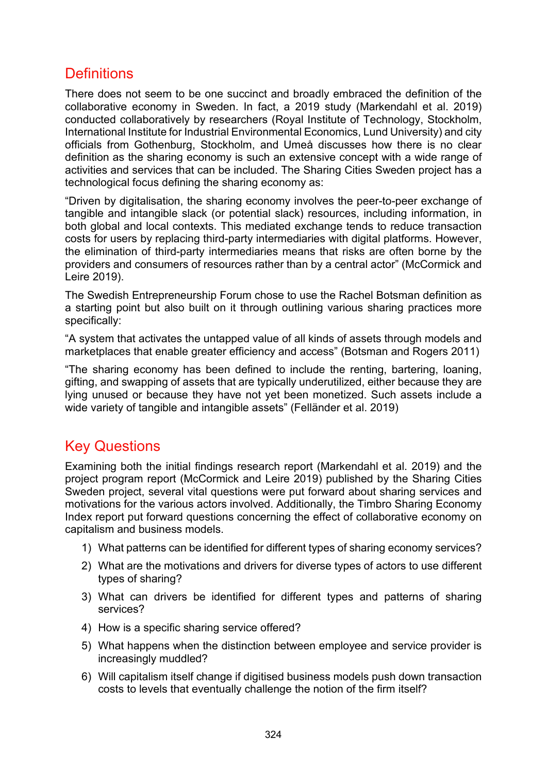### **Definitions**

There does not seem to be one succinct and broadly embraced the definition of the collaborative economy in Sweden. In fact, a 2019 study (Markendahl et al. 2019) conducted collaboratively by researchers (Royal Institute of Technology, Stockholm, International Institute for Industrial Environmental Economics, Lund University) and city officials from Gothenburg, Stockholm, and Umeå discusses how there is no clear definition as the sharing economy is such an extensive concept with a wide range of activities and services that can be included. The Sharing Cities Sweden project has a technological focus defining the sharing economy as:

"Driven by digitalisation, the sharing economy involves the peer-to-peer exchange of tangible and intangible slack (or potential slack) resources, including information, in both global and local contexts. This mediated exchange tends to reduce transaction costs for users by replacing third-party intermediaries with digital platforms. However, the elimination of third-party intermediaries means that risks are often borne by the providers and consumers of resources rather than by a central actor" (McCormick and Leire 2019).

The Swedish Entrepreneurship Forum chose to use the Rachel Botsman definition as a starting point but also built on it through outlining various sharing practices more specifically:

"A system that activates the untapped value of all kinds of assets through models and marketplaces that enable greater efficiency and access" (Botsman and Rogers 2011)

"The sharing economy has been defined to include the renting, bartering, loaning, gifting, and swapping of assets that are typically underutilized, either because they are lying unused or because they have not yet been monetized. Such assets include a wide variety of tangible and intangible assets" (Felländer et al. 2019)

### Key Questions

Examining both the initial findings research report (Markendahl et al. 2019) and the project program report (McCormick and Leire 2019) published by the Sharing Cities Sweden project, several vital questions were put forward about sharing services and motivations for the various actors involved. Additionally, the Timbro Sharing Economy Index report put forward questions concerning the effect of collaborative economy on capitalism and business models.

- 1) What patterns can be identified for different types of sharing economy services?
- 2) What are the motivations and drivers for diverse types of actors to use different types of sharing?
- 3) What can drivers be identified for different types and patterns of sharing services?
- 4) How is a specific sharing service offered?
- 5) What happens when the distinction between employee and service provider is increasingly muddled?
- 6) Will capitalism itself change if digitised business models push down transaction costs to levels that eventually challenge the notion of the firm itself?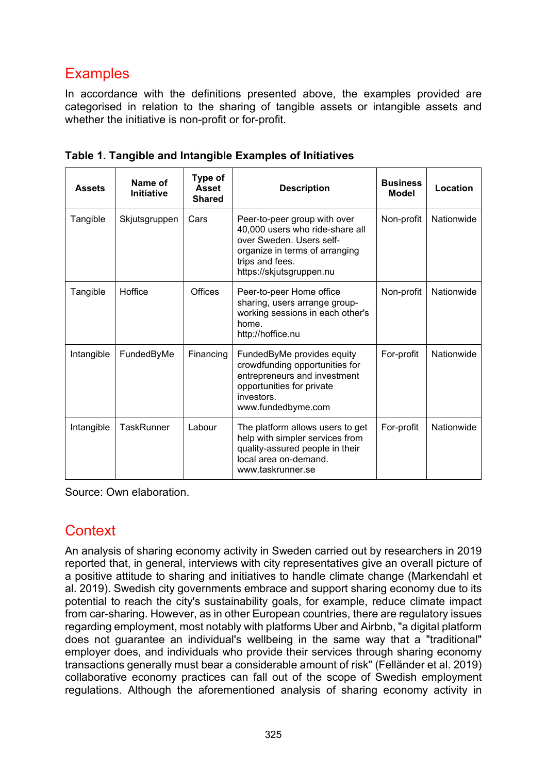## **Examples**

In accordance with the definitions presented above, the examples provided are categorised in relation to the sharing of tangible assets or intangible assets and whether the initiative is non-profit or for-profit.

| <b>Assets</b> | Name of<br><b>Initiative</b> | Type of<br><b>Asset</b><br><b>Shared</b> | <b>Description</b>                                                                                                                                                           | <b>Business</b><br>Model | Location   |
|---------------|------------------------------|------------------------------------------|------------------------------------------------------------------------------------------------------------------------------------------------------------------------------|--------------------------|------------|
| Tangible      | Skjutsgruppen                | Cars                                     | Peer-to-peer group with over<br>40,000 users who ride-share all<br>over Sweden, Users self-<br>organize in terms of arranging<br>trips and fees.<br>https://skjutsgruppen.nu | Non-profit               | Nationwide |
| Tangible      | Hoffice                      | <b>Offices</b>                           | Peer-to-peer Home office<br>sharing, users arrange group-<br>working sessions in each other's<br>home.<br>http://hoffice.nu                                                  | Non-profit               | Nationwide |
| Intangible    | FundedByMe                   | Financing                                | FundedByMe provides equity<br>crowdfunding opportunities for<br>entrepreneurs and investment<br>opportunities for private<br>investors.<br>www.fundedbyme.com                | For-profit               | Nationwide |
| Intangible    | <b>TaskRunner</b>            | Labour                                   | The platform allows users to get<br>help with simpler services from<br>quality-assured people in their<br>local area on-demand.<br>www.taskrunner.se                         | For-profit               | Nationwide |

**Table 1. Tangible and Intangible Examples of Initiatives**

Source: Own elaboration.

### **Context**

An analysis of sharing economy activity in Sweden carried out by researchers in 2019 reported that, in general, interviews with city representatives give an overall picture of a positive attitude to sharing and initiatives to handle climate change (Markendahl et al. 2019). Swedish city governments embrace and support sharing economy due to its potential to reach the city's sustainability goals, for example, reduce climate impact from car-sharing. However, as in other European countries, there are regulatory issues regarding employment, most notably with platforms Uber and Airbnb, "a digital platform does not guarantee an individual's wellbeing in the same way that a "traditional" employer does, and individuals who provide their services through sharing economy transactions generally must bear a considerable amount of risk" (Felländer et al. 2019) collaborative economy practices can fall out of the scope of Swedish employment regulations. Although the aforementioned analysis of sharing economy activity in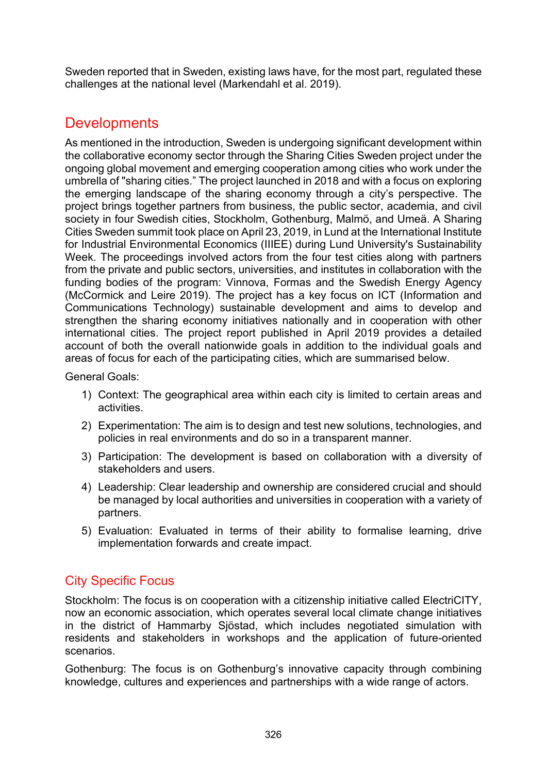Sweden reported that in Sweden, existing laws have, for the most part, regulated these challenges at the national level (Markendahl et al. 2019).

### **Developments**

As mentioned in the introduction, Sweden is undergoing significant development within the collaborative economy sector through the Sharing Cities Sweden project under the ongoing global movement and emerging cooperation among cities who work under the umbrella of "sharing cities." The project launched in 2018 and with a focus on exploring the emerging landscape of the sharing economy through a city's perspective. The project brings together partners from business, the public sector, academia, and civil society in four Swedish cities, Stockholm, Gothenburg, Malmö, and Umeä. A Sharing Cities Sweden summit took place on April 23, 2019, in Lund at the International Institute for Industrial Environmental Economics (IIIEE) during Lund University's Sustainability Week. The proceedings involved actors from the four test cities along with partners from the private and public sectors, universities, and institutes in collaboration with the funding bodies of the program: Vinnova, Formas and the Swedish Energy Agency (McCormick and Leire 2019). The project has a key focus on ICT (Information and Communications Technology) sustainable development and aims to develop and strengthen the sharing economy initiatives nationally and in cooperation with other international cities. The project report published in April 2019 provides a detailed account of both the overall nationwide goals in addition to the individual goals and areas of focus for each of the participating cities, which are summarised below.

General Goals:

- 1) Context: The geographical area within each city is limited to certain areas and activities.
- 2) Experimentation: The aim is to design and test new solutions, technologies, and policies in real environments and do so in a transparent manner.
- 3) Participation: The development is based on collaboration with a diversity of stakeholders and users.
- 4) Leadership: Clear leadership and ownership are considered crucial and should be managed by local authorities and universities in cooperation with a variety of partners.
- 5) Evaluation: Evaluated in terms of their ability to formalise learning, drive implementation forwards and create impact.

#### City Specific Focus

Stockholm: The focus is on cooperation with a citizenship initiative called ElectriCITY, now an economic association, which operates several local climate change initiatives in the district of Hammarby Sjöstad, which includes negotiated simulation with residents and stakeholders in workshops and the application of future-oriented scenarios.

Gothenburg: The focus is on Gothenburg's innovative capacity through combining knowledge, cultures and experiences and partnerships with a wide range of actors.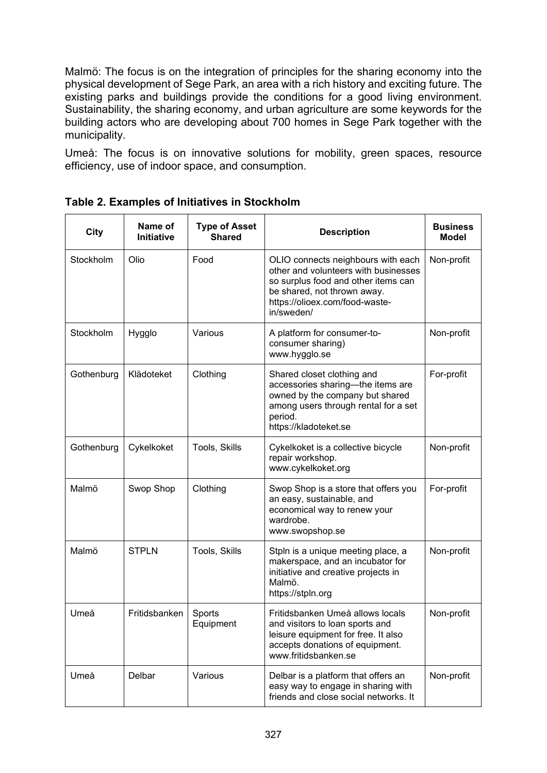Malmö: The focus is on the integration of principles for the sharing economy into the physical development of Sege Park, an area with a rich history and exciting future. The existing parks and buildings provide the conditions for a good living environment. Sustainability, the sharing economy, and urban agriculture are some keywords for the building actors who are developing about 700 homes in Sege Park together with the municipality.

Umeå: The focus is on innovative solutions for mobility, green spaces, resource efficiency, use of indoor space, and consumption.

| <b>City</b> | Name of<br>Initiative                | <b>Type of Asset</b><br><b>Shared</b> | <b>Description</b>                                                                                                                                                                               | <b>Business</b><br><b>Model</b> |
|-------------|--------------------------------------|---------------------------------------|--------------------------------------------------------------------------------------------------------------------------------------------------------------------------------------------------|---------------------------------|
| Stockholm   | Olio                                 | Food                                  | OLIO connects neighbours with each<br>other and volunteers with businesses<br>so surplus food and other items can<br>be shared, not thrown away.<br>https://olioex.com/food-waste-<br>in/sweden/ | Non-profit                      |
| Stockholm   | Hygglo                               | Various                               | A platform for consumer-to-<br>consumer sharing)<br>www.hygglo.se                                                                                                                                | Non-profit                      |
| Gothenburg  | Klädoteket                           | Clothing                              | Shared closet clothing and<br>accessories sharing-the items are<br>owned by the company but shared<br>among users through rental for a set<br>period.<br>https://kladoteket.se                   | For-profit                      |
| Gothenburg  | Cykelkoket                           | Tools, Skills                         | Cykelkoket is a collective bicycle<br>repair workshop.<br>www.cykelkoket.org                                                                                                                     | Non-profit                      |
| Malmö       | Swop Shop                            | Clothing                              | Swop Shop is a store that offers you<br>an easy, sustainable, and<br>economical way to renew your<br>wardrobe.<br>www.swopshop.se                                                                | For-profit                      |
| Malmö       | <b>STPLN</b>                         | Tools, Skills                         | Stpln is a unique meeting place, a<br>makerspace, and an incubator for<br>initiative and creative projects in<br>Malmö.<br>https://stpln.org                                                     | Non-profit                      |
| Umeå        | Fritidsbanken<br>Sports<br>Equipment |                                       | Fritidsbanken Umeå allows locals<br>and visitors to loan sports and<br>leisure equipment for free. It also<br>accepts donations of equipment.<br>www.fritidsbanken.se                            | Non-profit                      |
| Umeå        | Delbar                               | Various                               | Delbar is a platform that offers an<br>easy way to engage in sharing with<br>friends and close social networks. It                                                                               | Non-profit                      |

**Table 2. Examples of Initiatives in Stockholm**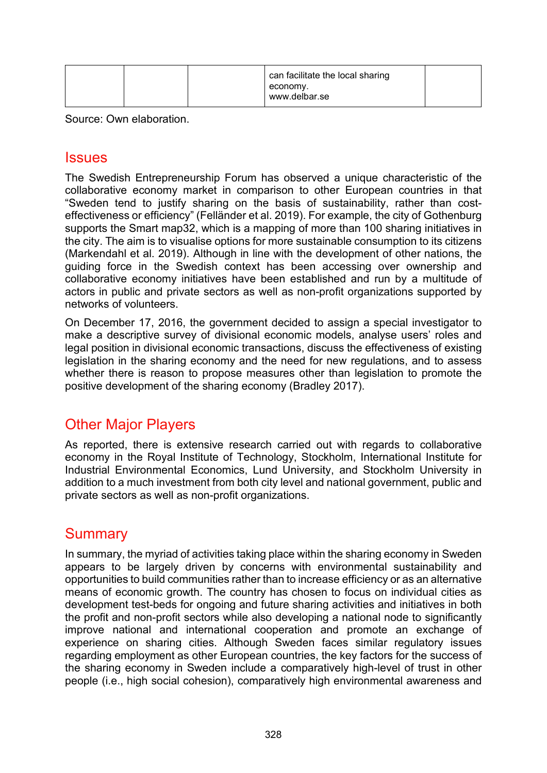| can facilitate the local sharing |  |
|----------------------------------|--|
| economy.                         |  |
| www.delbar.se                    |  |

Source: Own elaboration.

#### Issues

The Swedish Entrepreneurship Forum has observed a unique characteristic of the collaborative economy market in comparison to other European countries in that "Sweden tend to justify sharing on the basis of sustainability, rather than costeffectiveness or efficiency" (Felländer et al. 2019). For example, the city of Gothenburg supports the Smart map32, which is a mapping of more than 100 sharing initiatives in the city. The aim is to visualise options for more sustainable consumption to its citizens (Markendahl et al. 2019). Although in line with the development of other nations, the guiding force in the Swedish context has been accessing over ownership and collaborative economy initiatives have been established and run by a multitude of actors in public and private sectors as well as non-profit organizations supported by networks of volunteers.

On December 17, 2016, the government decided to assign a special investigator to make a descriptive survey of divisional economic models, analyse users' roles and legal position in divisional economic transactions, discuss the effectiveness of existing legislation in the sharing economy and the need for new regulations, and to assess whether there is reason to propose measures other than legislation to promote the positive development of the sharing econom[y](https://www.regeringen.se/495f62/contentassets/82aabf7f731c4e18aaee3b8dc3621063/delningsekonomi--pa-anvandarnas-villkor-sou-201726) (Bradley 2017).

### Other Major Players

As reported, there is extensive research carried out with regards to collaborative economy in the Royal Institute of Technology, Stockholm, International Institute for Industrial Environmental Economics, Lund University, and Stockholm University in addition to a much investment from both city level and national government, public and private sectors as well as non-profit organizations.

### **Summary**

In summary, the myriad of activities taking place within the sharing economy in Sweden appears to be largely driven by concerns with environmental sustainability and opportunities to build communities rather than to increase efficiency or as an alternative means of economic growth. The country has chosen to focus on individual cities as development test-beds for ongoing and future sharing activities and initiatives in both the profit and non-profit sectors while also developing a national node to significantly improve national and international cooperation and promote an exchange of experience on sharing cities. Although Sweden faces similar regulatory issues regarding employment as other European countries, the key factors for the success of the sharing economy in Sweden include a comparatively high-level of trust in other people (i.e., high social cohesion), comparatively high environmental awareness and